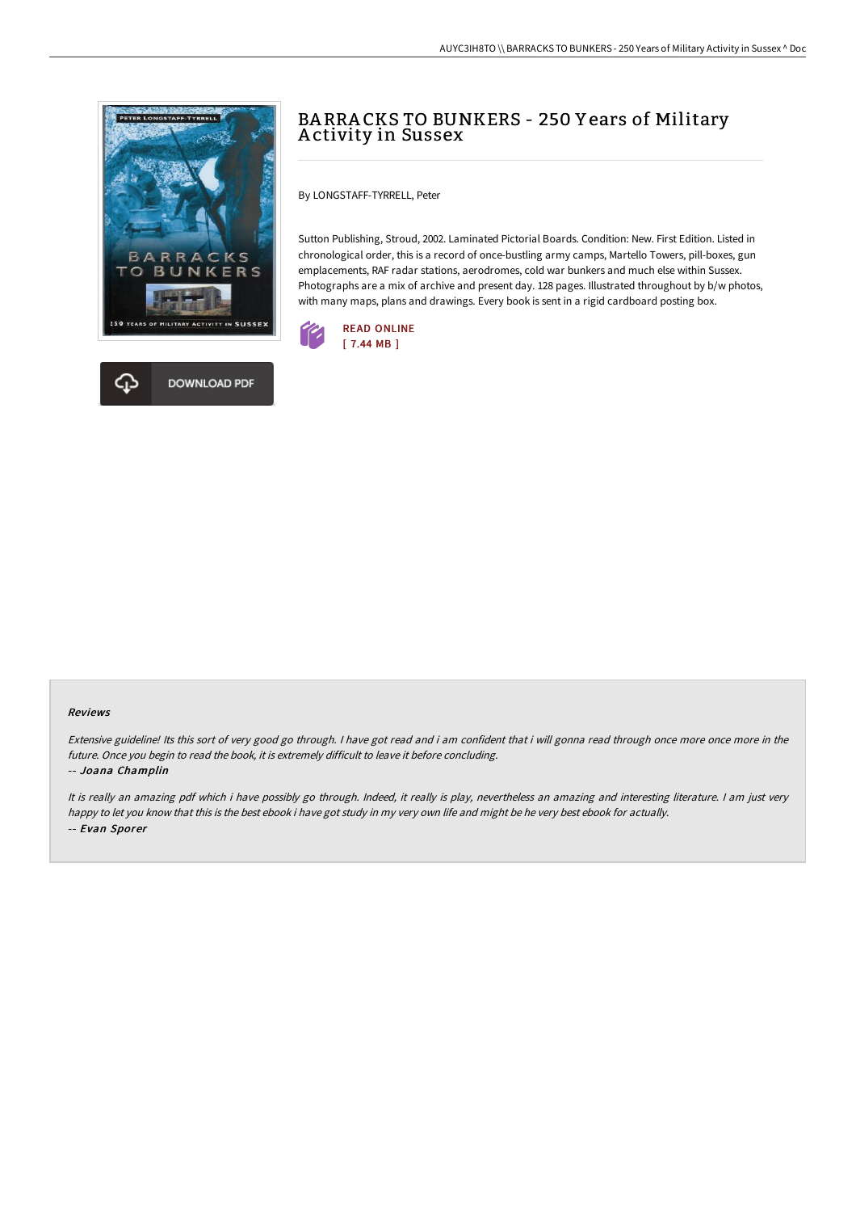



By LONGSTAFF-TYRRELL, Peter

Sutton Publishing, Stroud, 2002. Laminated Pictorial Boards. Condition: New. First Edition. Listed in chronological order, this is a record of once-bustling army camps, Martello Towers, pill-boxes, gun emplacements, RAF radar stations, aerodromes, cold war bunkers and much else within Sussex. Photographs are a mix of archive and present day. 128 pages. Illustrated throughout by b/w photos, with many maps, plans and drawings. Every book is sent in a rigid cardboard posting box.



## Reviews

Extensive guideline! Its this sort of very good go through. I have got read and i am confident that i will gonna read through once more once more in the future. Once you begin to read the book, it is extremely difficult to leave it before concluding. -- Joana Champlin

It is really an amazing pdf which i have possibly go through. Indeed, it really is play, nevertheless an amazing and interesting literature. I am just very happy to let you know that this is the best ebook i have got study in my very own life and might be he very best ebook for actually. -- Evan Sporer